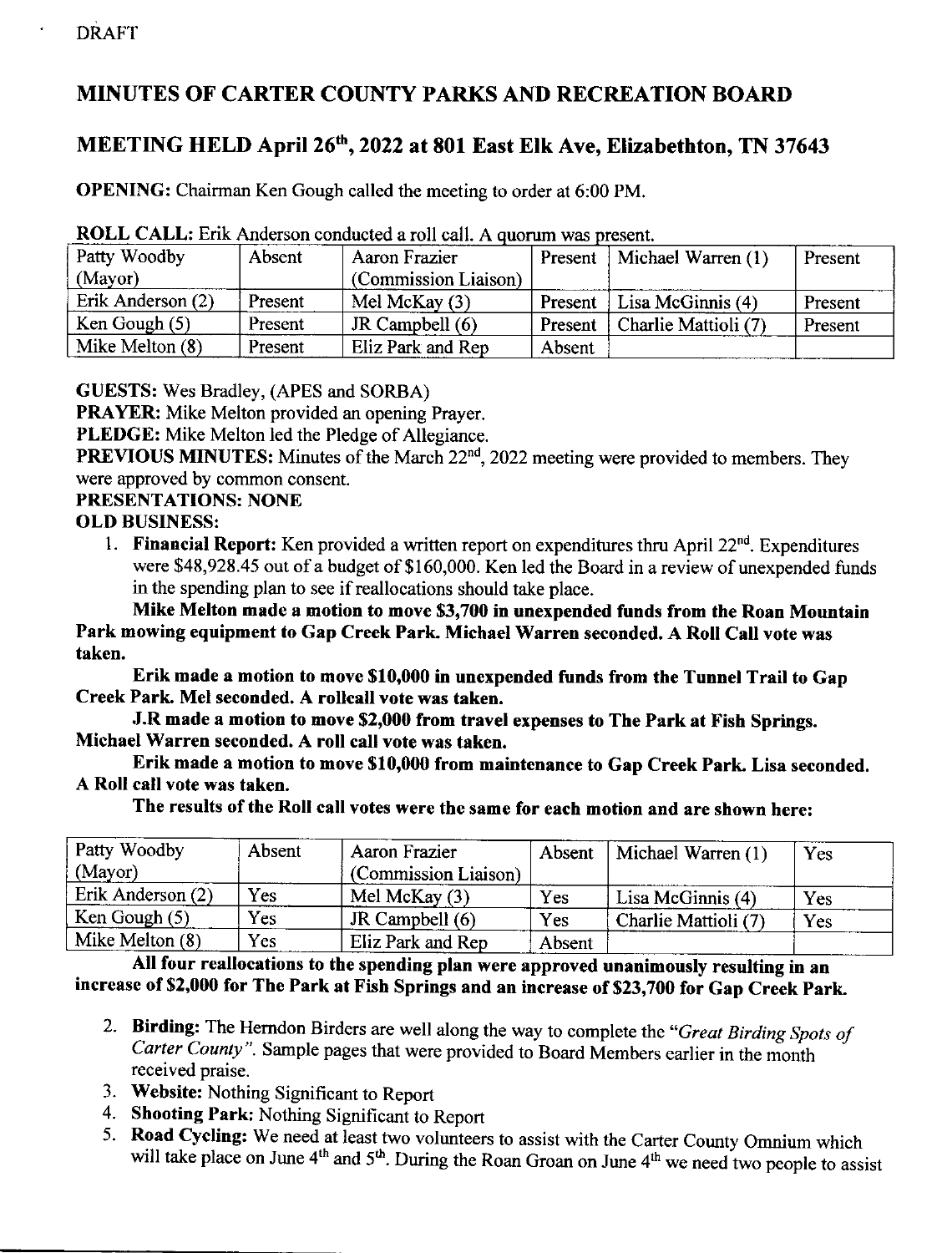# MINUTES OF CARTER COUNTY PARKS AND RECREATION BOARI)

## MEETING HELD April 26<sup>th</sup>, 2022 at 801 East Elk Ave, Elizabethton, TN 37643

OPENING: Chairman Ken Gough called the meeting to order at 6:00 PM.

| Patty Woodby      | Absent  | Aaron Frazier        | Present | Michael Warren (1)   | Present |
|-------------------|---------|----------------------|---------|----------------------|---------|
| (Mayor)           |         | (Commission Liaison) |         |                      |         |
| Erik Anderson (2) | Present | Mel McKay (3)        | Present | Lisa McGinnis (4)    | Present |
| Ken Gough $(5)$   | Present | JR Campbell $(6)$    | Present | Charlie Mattioli (7) | Present |
| Mike Melton (8)   | Present | Eliz Park and Rep    | Absent  |                      |         |

|  |  |  |  |  |  |  |  |  | ROLL CALL: Erik Anderson conducted a roll call. A quorum was present. |  |
|--|--|--|--|--|--|--|--|--|-----------------------------------------------------------------------|--|
|--|--|--|--|--|--|--|--|--|-----------------------------------------------------------------------|--|

GUESTS: Wes Bradley, (APES and SORBA)

PRAYER: Mike Melton provided an opening Prayer.

PLEDGE: Mike Melton led the Pledge of Allegiance.

PREVIOUS MINUTES: Minutes of the March 22<sup>nd</sup>, 2022 meeting were provided to members. They were approved by common consent.

#### PRESENTATIONS: NONE

OLD BUSINESS:

1. **Financial Report:** Ken provided a written report on expenditures thru April  $22<sup>nd</sup>$ . Expenditures were \$48,928.45 out of a budget of \$160,000. Ken led the Board in a review of unexpended funds in the spending plan to see if reallocations should take place.

Mike Melton made a motion to move \$3,700 in unexpended funds from the Roan Mountain Park mowing equipment to Gap Creek Park. Michael Warren seconded. A Roll Call vote was taken.

Erik made a motion to move \$10,000 in unexpended funds from the Tunnel Trail to Gap Creek Park Mel seconded. A rollcall vote was taken.

J.R made a motion to move \$2,000 from travel expenses to The Park at Fish Springs. Michael Warren seconded. A roll call vote was taken.

Erik made a motion to move \$10,000 from maintenance to Gap Creek Park. Lisa seconded. A Roll call vote was taken.

The results of the Roll call votes were the same for each motion and are shown here:

| Patty Woodby      | Absent     | Aaron Frazier        | Absent | Michael Warren $(1)$ | <b>Yes</b> |
|-------------------|------------|----------------------|--------|----------------------|------------|
| (Mayor)           |            | (Commission Liaison) |        |                      |            |
| Erik Anderson (2) | Yes.       | Mel McKay (3)        | Yes    | Lisa McGinnis (4)    | $\rm Yes$  |
| Ken Gough $(5)$   | <b>Yes</b> | JR Campbell $(6)$    | Yes    | Charlie Mattioli (7) | Yes        |
| Mike Melton (8)   | Yes        | Eliz Park and Rep    | Absent |                      |            |

All four reallocations to the spending plan were approved unanimously resulting in an increase of \$2,000 for The Park at Fish Springs and an increase of \$23,700 for Gap Creek Park.

- 2. Birding: The Herndon Birders are well along the way to complete the "Great Birding Spots of Carter County". Sample pages that were provided to Board Members earlier in the month received praise.
- 3. Website: Nothing Significant to Report
- 
- 4. Shooting Park: Nothing Significant to Report<br>5. Road Cycling: We need at least two volunteers to assist with the Carter County Omnium which will take place on June  $4<sup>th</sup>$  and  $5<sup>th</sup>$ . During the Roan Groan on June  $4<sup>th</sup>$  we need two people to assist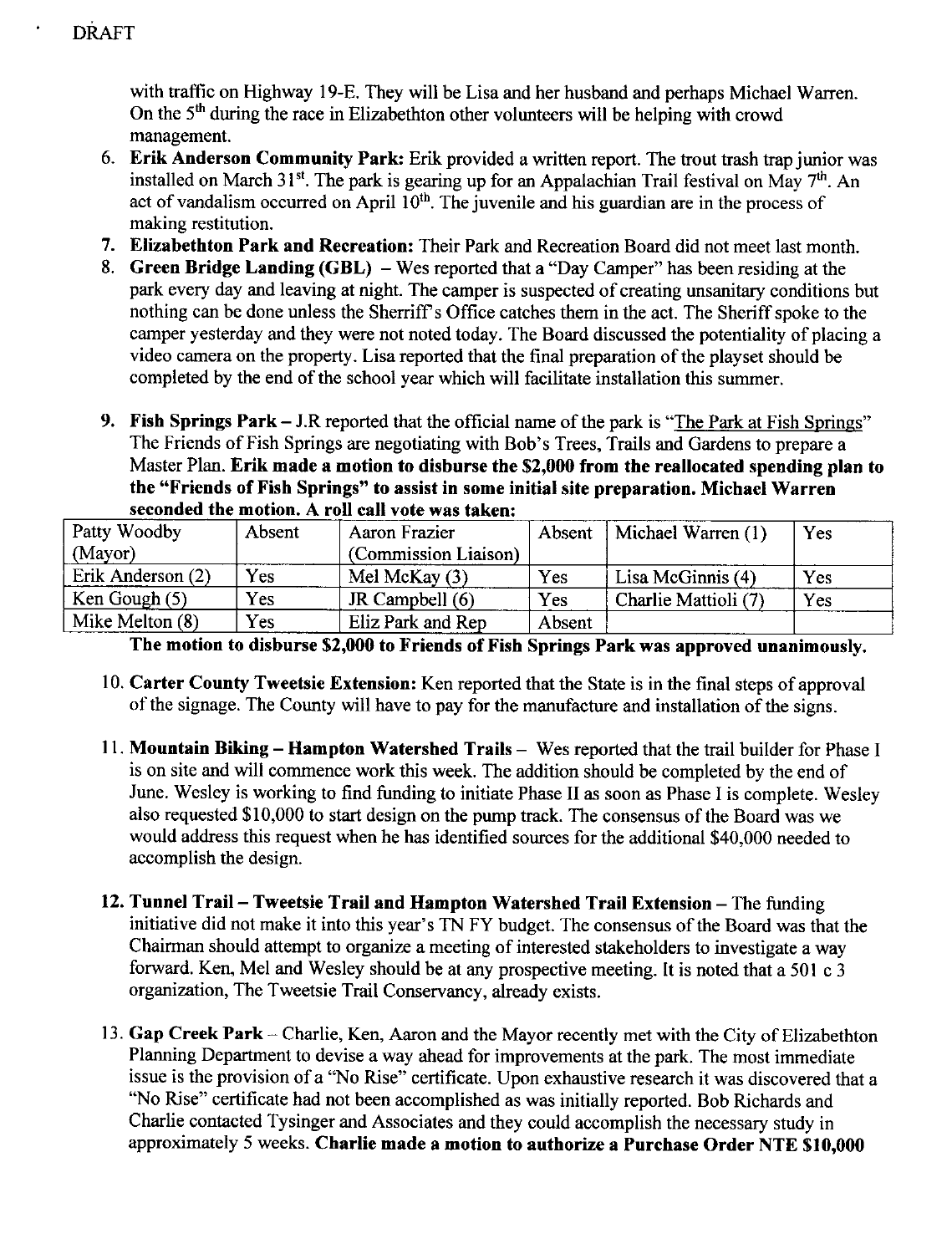with traffic on Highway 19-E. They will be Lisa and her husband and perhaps Michael Warren. On the 5<sup>th</sup> during the race in Elizabethton other volunteers will be helping with crowd management.

- 6. Erik Anderson Community Park: Erik provided a written report. The trout trash trap junior was installed on March 31<sup>st</sup>. The park is gearing up for an Appalachian Trail festival on May  $7<sup>th</sup>$ . An act of vandalism occurred on April  $10<sup>th</sup>$ . The juvenile and his guardian are in the process of making restitution.
- 7. Elizabethton Park and Recreation: Their Park and Recreation Board did not meet last month.
- 8. Green Bridge Landing (GBL) Wes reported that a "Day Camper" has been residing at the park every day and leaving at night. The camper is suspected of creating unsanitary conditions but nothing can be done unless the Sherriff's Office catches them in the act. The Sheriff spoke to the camper yesterday and they were not noted today. The Board discussed the potentiality of placing a video camera on the property. Lisa reported that the final preparation of the playset should be completed by the end of the school year which will facilitate installation this summer.
- 9. Fish Springs Park  $-$  J.R reported that the official name of the park is "The Park at Fish Springs" The Friends of Fish Springs are negotiating with Bob's Trees, Trails and Gardens to prepare a Master Plan. Erik made a motion to disburse the \$2,000 from the reallocated spending plan to the "Friends of Fish Springs'to assist in some initial site preparation. Michael Warren seconded the motion. A roll call vote was taken:

| Patty Woodby                 | Absent | Aaron Frazier                         | Absent | Michael Warren (1)   | Yes |
|------------------------------|--------|---------------------------------------|--------|----------------------|-----|
| (Mayor)<br>Erik Anderson (2) | Yes    | (Commission Liaison)<br>Mel McKay (3) | Yes    | Lisa McGinnis (4)    | Yes |
| Ken Gough $(5)$              | Yes    | JR Campbell $(6)$                     | Yes    | Charlie Mattioli (7) | Yes |
| Mike Melton (8)              | Yes    | Eliz Park and Rep                     | Absent |                      |     |

The motion to disburse \$2,000 to Friends of Fish Springs Park was approved unanimously.

- 10. Carter County Tweetsie Extension: Ken reported that the State is in the final steps of approval of the signage. The County will have to pay for the manufacture and installation of the signs.
- 11. Mountain Biking Hampton Watershed Trails Wes reported that the trail builder for Phase I is on site and will commence work this week. The addition should be completed by the end of June. Wesley is working to find funding to initiate Phase II as soon as Phase I is complete. Wesley also requested \$10,000 to start design on the pump tack. The consensus of the Board was we would address this request when he has identified sources for the additional \$40,000 needed to accomplish the design.
- 12. Tunnel Trail Tweetsie Trail and Hampton Watershed Trail Extension The funding initiative did not make it into this year's TN FY budget. The consensus of the Board was that the Chairman should attempt to organize a meeting of interested stakeholders to investigate a way forward. Ken, Mel and Wesley should be at any prospective meeting. It is noted that a 501 c 3 organization, The Tweetsie Trail Conservancy, already exists.
- 13. Gap Creek Park Charlie, Ken, Aaron and the Mayor recently met with the City of Elizabethton Planning Department to devise a way ahead for improvements at the park. The most immediate issue is the provision of a "No Rise" certificate. Upon exhaustive research it was discovered that a "No Rise" certificate had not been accomplished as was initially reported. Bob Richards and Charlie contacted Tysinger and Associates and they could accomplish the necessary study in approximately 5 weeks. Charlie made a motion to authorize a Purchase Order NTE \$10,000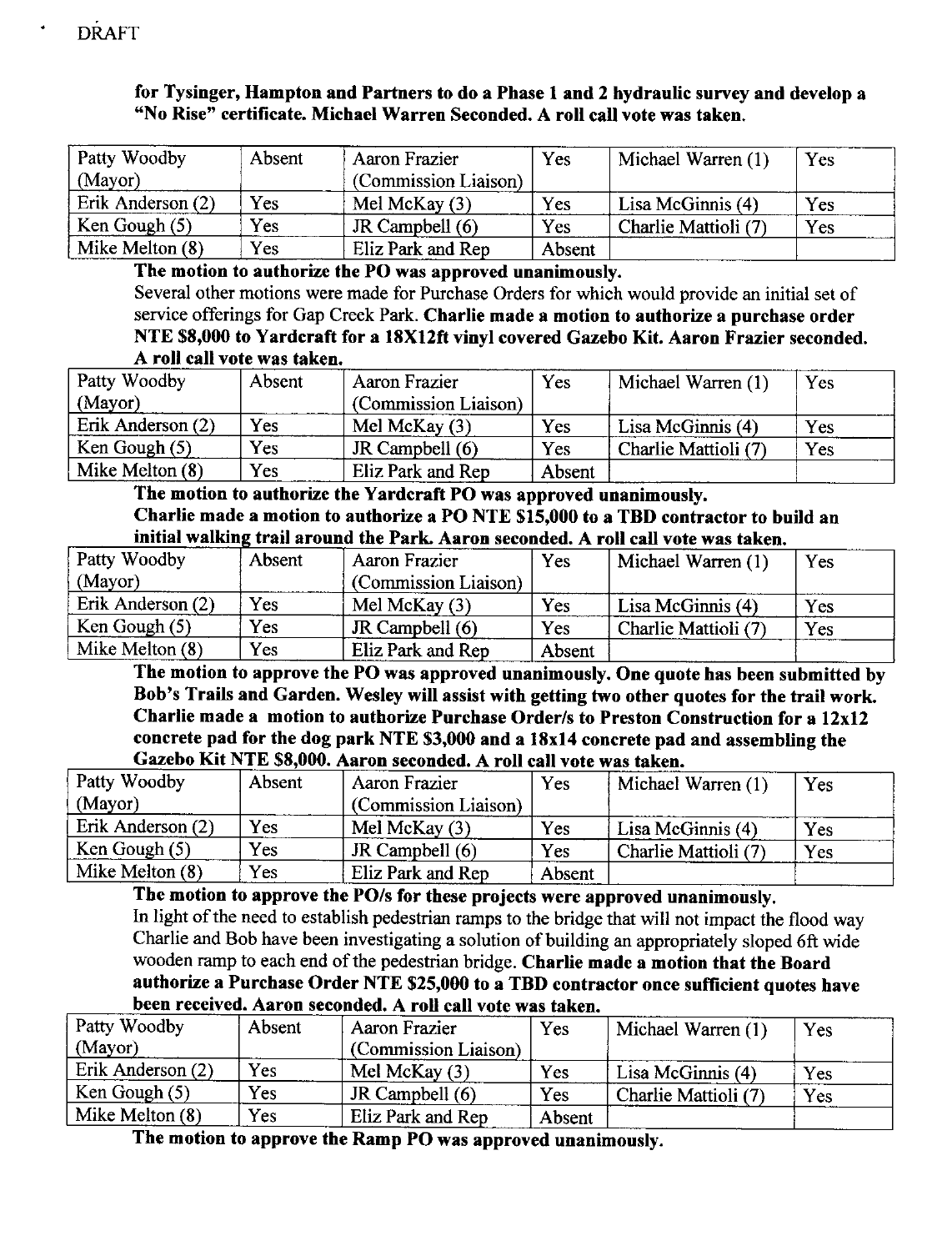### for Tysinger, Hampton and Partners to do a Phase I and 2 hydraulic survey and develop a "No Rise" certificate. Michael Warren Seconded. A roll call vote was taken.

| Patty Woodby      | Absent | <b>Aaron Frazier</b> | <b>Yes</b> | Michael Warren (1)   | Yes |
|-------------------|--------|----------------------|------------|----------------------|-----|
| (Mayor)           |        | (Commission Liaison) |            |                      |     |
| Erik Anderson (2) | Yes    | Mel McKay $(3)$      | Yes        | Lisa McGinnis (4)    | Yes |
| Ken Gough $(5)$   | Yes    | JR Campbell $(6)$    | Yes        | Charlie Mattioli (7) | Yes |
| Mike Melton (8)   | Yes    | Eliz Park and Rep    | Absent     |                      |     |

### The motion to authorize the PO was approved unanimously.

Several other motions were made for Purchase Orders for which would provide an initial set of service offerings for Gap Creek Park. Charlie made a motion to authorize a purchase order NTE \$8,000 to Yardcraft for a l8Xl2ft vinyl covered Gazebo Kit. Aaron Frazier seconded, A roll call vote was taken.

| Patty Woodby      | Absent | Aaron Frazier        | Yes    | Michael Warren (1)   | Yes |
|-------------------|--------|----------------------|--------|----------------------|-----|
| (Mayor)           |        | (Commission Liaison) |        |                      |     |
| Erik Anderson (2) | Yes    | Mel McKay (3)        | Yes    | Lisa McGinnis (4)    | Yes |
| Ken Gough $(5)$   | Yes    | JR Campbell (6)      | Yes    | Charlie Mattioli (7) | Yes |
| Mike Melton (8)   | Yes    | Eliz Park and Rep    | Absent |                      |     |

The motion to authorize the Yardcraft PO was approved unanimously. Charlie made a motion to authorize a PO NTE \$15,000 to a TBD contractor to build an initial walking trail around the Park. Aaron seconded. A roll call vote was taken.

| Patty Woodby      | Absent | <b>Aaron Frazier</b> | Yes    | Michael Warren (1)   | Yes |
|-------------------|--------|----------------------|--------|----------------------|-----|
| (Mayor)           |        | (Commission Liaison) |        |                      |     |
| Erik Anderson (2) | Yes    | Mel McKay (3)        | Yes    | Lisa McGinnis (4)    | Yes |
| Ken Gough $(5)$   | Yes    | $IR$ Campbell $(6)$  | Yes    | Charlie Mattioli (7) | Yes |
| Mike Melton (8)   | Yes    | Eliz Park and Rep    | Absent |                      |     |

The motion to approve the PO was approved unanimously. One quote has been submitted by Bob's Trails and Garden. Wesley will assist with getting two other quotes for the trail work Charlie made a motion to authorize Purchase Order/s to Preston Construction for a 12x12 concrete pad for the dog park NTE \$3,000 and a 18x14 concrete pad and assembling the Gazebo Kit NTE \$8,000. Aaron seconded. A roll call vote was taken.

| Patty Woodby      | Absent | Aaron Frazier        | Yes    | Michael Warren (1)   | Yes |
|-------------------|--------|----------------------|--------|----------------------|-----|
| (Mayor)           |        | (Commission Liaison) |        |                      |     |
| Erik Anderson (2) | Yes    | Mel McKay $(3)$      | Yes    | Lisa McGinnis (4)    | Yes |
| Ken Gough $(5)$   | Yes    | JR Campbell $(6)$    | Yes    | Charlie Mattioli (7) | Yes |
| Mike Melton (8)   | Yes    | Eliz Park and Rep    | Absent |                      |     |

The motion to approve the PO/s for these projects were approved unanimously. In light of the need to establish pedestrian ramps to the bridge that will not impact the flood way Charlie and Bob have been investigating a solution of building an appropriately sloped 6ft wide wooden ramp to each end of the pedestrian bridge. Charlie made a motion that the Board authorize a Purchase Order NTE \$25,000 to a TBD contractor once sufficient quotes have been received. Aaron seconded. A roll call vote was takeu.

| Patty Woodby      | Absent | Aaron Frazier        | Yes    | Michael Warren (1)   | Yes |  |
|-------------------|--------|----------------------|--------|----------------------|-----|--|
| (Mayor)           |        | (Commission Liaison) |        |                      |     |  |
| Erik Anderson (2) | Yes    | Mel McKay (3)        | Yes    | Lisa McGinnis (4)    | Yes |  |
| Ken Gough $(5)$   | Yes    | JR Campbell $(6)$    | Yes    | Charlie Mattioli (7) | Yes |  |
| Mike Melton (8)   | Yes    | Eliz Park and Rep    | Absent |                      |     |  |
|                   |        |                      |        |                      |     |  |

The motion to approve the Ramp PO was approved unanimously.